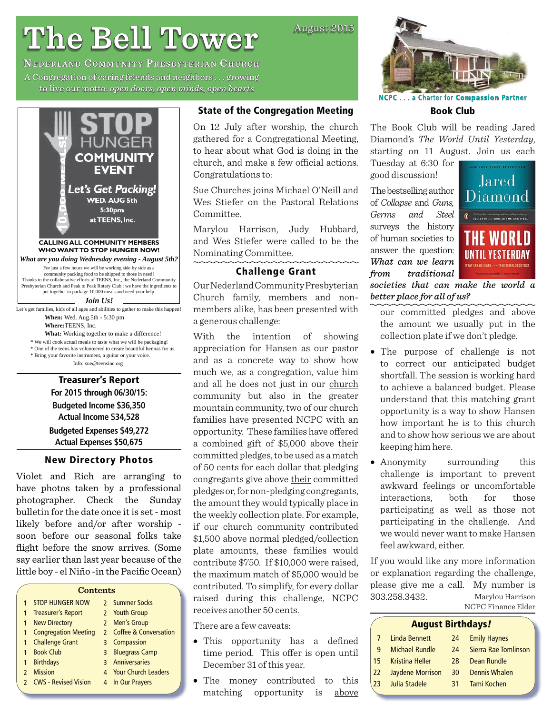# **The Bell Tower he**

**NEDERLAND COMMUNITY PRESBYTERIAN CHURCH** A Congregation of caring friends and neighbors  $\ldots$  growing to live our motto: open doors, open minds, open hearts



**Budgeted Income \$36,350 Actual Income \$34,528 Budgeted Expenses \$49,272 Actual Expenses \$50,675**

#### **New Directory Photos**

Violet and Rich are arranging to have photos taken by a professional photographer. Check the Sunday bulletin for the date once it is set - most likely before and/or after worship soon before our seasonal folks take flight before the snow arrives. (Some say earlier than last year because of the little boy - el Niño -in the Pacific Ocean)

| 1                        | <b>STOP HUNGER NOW</b>      |                    | 2 Summer Socks             |
|--------------------------|-----------------------------|--------------------|----------------------------|
| 1                        | <b>Treasurer's Report</b>   |                    | 2 Youth Group              |
| $\mathbf{1}$             | <b>New Directory</b>        |                    | 2 Men's Group              |
| 1                        | <b>Congregation Meeting</b> |                    | 2 Coffee & Conversation    |
| 1                        | <b>Challenge Grant</b>      | 3                  | Compassion                 |
| 1                        | <b>Book Club</b>            | 3                  | <b>Bluegrass Camp</b>      |
| 1                        | <b>Birthdays</b>            |                    | 3 Anniversaries            |
| $\overline{\phantom{0}}$ | <b>Mission</b>              | $\mathbf{\Lambda}$ | <b>Your Church Leaders</b> |
|                          | <b>CWS - Revised Vision</b> | 4                  | In Our Prayers             |
|                          |                             |                    |                            |

#### **State of the Congregation Meeting**

On 12 July after worship, the church gathered for a Congregational Meeting, to hear about what God is doing in the church, and make a few official actions. Congratulations to:

Sue Churches joins Michael O'Neill and Wes Stiefer on the Pastoral Relations Committee.

Marylou Harrison, Judy Hubbard, and Wes Stiefer were called to be the Nominating Committee.

### **Challenge Grant**

Our Nederland Community Presbyterian Church family, members and nonmembers alike, has been presented with a generous challenge:

With the intention of showing appreciation for Hansen as our pastor and as a concrete way to show how much we, as a congregation, value him and all he does not just in our church community but also in the greater mountain community, two of our church families have presented NCPC with an opportunity. These families have offered a combined gift of \$5,000 above their committed pledges, to be used as a match of 50 cents for each dollar that pledging congregants give above their committed pledges or, for non-pledging congregants, the amount they would typically place in the weekly collection plate. For example, if our church community contributed \$1,500 above normal pledged/collection plate amounts, these families would contribute \$750. If \$10,000 were raised, the maximum match of \$5,000 would be contributed. To simplify, for every dollar raised during this challenge, NCPC receives another 50 cents.

There are a few caveats:

- This opportunity has a defined time period. This offer is open until December 31 of this year.
- The money contributed to this matching opportunity is above



**NCPC**. . . a Charter for **Compassion ompassionPartner**

**Book Club**

The Book Club will be reading Jared Diamond's *The World Until Yesterday*, starting on 11 August. Join us each

Tuesday at 6:30 for good discussion!

The bestselling author of *Collapse* and *Guns, Germs and Steel* surveys the history of human societies to answer the question: *What can we learn from traditional* 



*societies that can make the world a better place for all of us?*

- our committed pledges and above the amount we usually put in the collection plate if we don't pledge.
- The purpose of challenge is not to correct our anticipated budget shortfall. The session is working hard to achieve a balanced budget. Please understand that this matching grant opportunity is a way to show Hansen how important he is to this church and to show how serious we are about keeping him here.
- Anonymity surrounding this challenge is important to prevent awkward feelings or uncomfortable interactions, both for those participating as well as those not participating in the challenge. And we would never want to make Hansen feel awkward, either.

If you would like any more information or explanation regarding the challenge, please give me a call. My number is 303.258.3432. Marylou Harrison NCPC Finance Elder

## **August Birthdays***!*

| 7  | Linda Bennett          | 24 | <b>Emily Haynes</b>  |
|----|------------------------|----|----------------------|
| q  | <b>Michael Rundle</b>  | 24 | Sierra Rae Tomlinson |
| 15 | <b>Kristina Heller</b> | 28 | Dean Rundle          |
| 22 | Jaydene Morrison       | 30 | Dennis Whalen        |
| 23 | Julia Stadele          | 31 | Tami Kochen          |

August 2015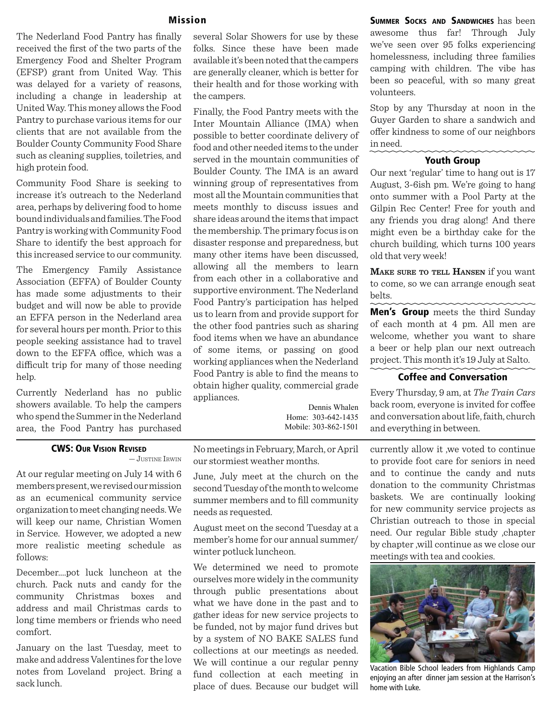The Nederland Food Pantry has finally received the first of the two parts of the Emergency Food and Shelter Program (EFSP) grant from United Way. This was delayed for a variety of reasons, including a change in leadership at United Way. This money allows the Food Pantry to purchase various items for our clients that are not available from the Boulder County Community Food Share such as cleaning supplies, toiletries, and high protein food.

Community Food Share is seeking to increase it's outreach to the Nederland area, perhaps by delivering food to home bound individuals and families. The Food Pantry is working with Community Food Share to identify the best approach for this increased service to our community.

The Emergency Family Assistance Association (EFFA) of Boulder County has made some adjustments to their budget and will now be able to provide an EFFA person in the Nederland area for several hours per month. Prior to this people seeking assistance had to travel down to the EFFA office, which was a difficult trip for many of those needing help.

Currently Nederland has no public showers available. To help the campers who spend the Summer in the Nederland area, the Food Pantry has purchased

#### **CWS: OUR VISION REVISED**

— JUSTINE IRWIN

At our regular meeting on July 14 with 6 members present, we revised our mission as an ecumenical community service organization to meet changing needs. We will keep our name, Christian Women in Service. However, we adopted a new more realistic meeting schedule as follows:

December….pot luck luncheon at the church. Pack nuts and candy for the community Christmas boxes and address and mail Christmas cards to long time members or friends who need comfort.

January on the last Tuesday, meet to make and address Valentines for the love notes from Loveland project. Bring a sack lunch.

several Solar Showers for use by these folks. Since these have been made available it's been noted that the campers are generally cleaner, which is better for their health and for those working with the campers.

Finally, the Food Pantry meets with the Inter Mountain Alliance (IMA) when possible to better coordinate delivery of food and other needed items to the under served in the mountain communities of Boulder County. The IMA is an award winning group of representatives from most all the Mountain communities that meets monthly to discuss issues and share ideas around the items that impact the membership. The primary focus is on disaster response and preparedness, but many other items have been discussed, allowing all the members to learn from each other in a collaborative and supportive environment. The Nederland Food Pantry's participation has helped us to learn from and provide support for the other food pantries such as sharing food items when we have an abundance of some items, or passing on good working appliances when the Nederland Food Pantry is able to find the means to obtain higher quality, commercial grade appliances.

> Dennis Whalen Home: 303-642-1435 Mobile: 303-862-1501

**Mission SUMMER SOCKS AND SANDWICHES** has been awesome thus far! Through July we've seen over 95 folks experiencing homelessness, including three families camping with children. The vibe has been so peaceful, with so many great volunteers.

> Stop by any Thursday at noon in the Guyer Garden to share a sandwich and offer kindness to some of our neighbors in need.

#### **Youth Group**

Our next 'regular' time to hang out is 17 August, 3-6ish pm. We're going to hang onto summer with a Pool Party at the Gilpin Rec Center! Free for youth and any friends you drag along! And there might even be a birthday cake for the church building, which turns 100 years old that very week!

**MAKE SURE TO TELL HANSEN** if you want to come, so we can arrange enough seat belts.

**Men's Group** meets the third Sunday of each month at 4 pm. All men are welcome, whether you want to share a beer or help plan our next outreach project. This month it's 19 July at Salto.

#### **Coffee and Conversation**

Every Thursday, 9 am, at *The Train Cars* back room, everyone is invited for coffee and conversation about life, faith, church and everything in between.

currently allow it ,we voted to continue to provide foot care for seniors in need and to continue the candy and nuts donation to the community Christmas baskets. We are continually looking for new community service projects as Christian outreach to those in special need. Our regular Bible study ,chapter by chapter ,will continue as we close our meetings with tea and cookies.



Vacation Bible School leaders from Highlands Camp enjoying an after dinner jam session at the Harrison's home with Luke.

No meetings in February, March, or April our stormiest weather months.

June, July meet at the church on the second Tuesday of the month to welcome summer members and to fill community needs as requested.

August meet on the second Tuesday at a member's home for our annual summer/ winter potluck luncheon.

We determined we need to promote ourselves more widely in the community through public presentations about what we have done in the past and to gather ideas for new service projects to be funded, not by major fund drives but by a system of NO BAKE SALES fund collections at our meetings as needed. We will continue a our regular penny fund collection at each meeting in place of dues. Because our budget will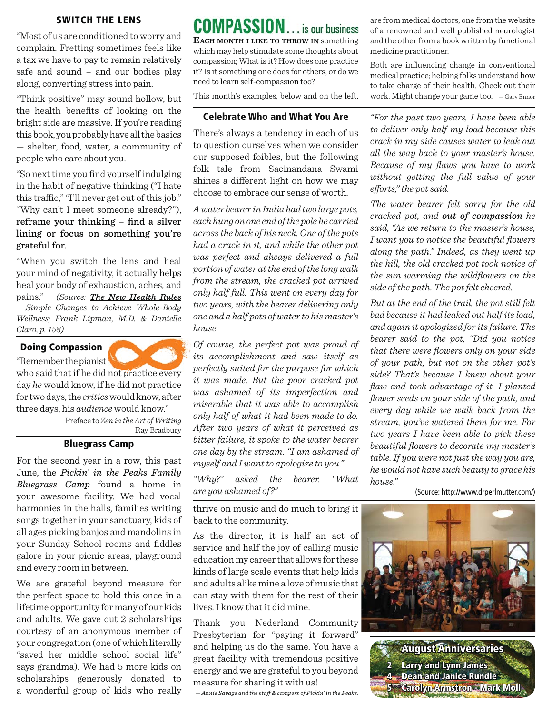#### **SWITCH THE LENS**

"Most of us are conditioned to worry and complain. Fretting sometimes feels like a tax we have to pay to remain relatively safe and sound – and our bodies play along, converting stress into pain.

"Think positive" may sound hollow, but the health benefits of looking on the bright side are massive. If you're reading this book, you probably have all the basics — shelter, food, water, a community of people who care about you.

"So next time you find yourself indulging in the habit of negative thinking ("I hate this traffic," "I'll never get out of this job," "Why can't I meet someone already?"), reframe your thinking – find a silver lining or focus on something you're grateful for.

"When you switch the lens and heal your mind of negativity, it actually helps heal your body of exhaustion, aches, and pains." *(Source: The New Health Rules – Simple Changes to Achieve Whole-Body Wellness; Frank Lipman, M.D. & Danielle Claro, p. 158)*

#### **Doing Compassion**

"Remember the pianist

who said that if he did not practice every day *he* would know, if he did not practice for two days, the *critics* would know, after three days, his *audience* would know."

> Preface to *Zen in the Art of Writing* Ray Bradbury

#### **Bluegrass Camp**

For the second year in a row, this past June, the *Pickin' in the Peaks Family Bluegrass Camp* found a home in your awesome facility. We had vocal harmonies in the halls, families writing songs together in your sanctuary, kids of all ages picking banjos and mandolins in your Sunday School rooms and fiddles galore in your picnic areas, playground and every room in between.

We are grateful beyond measure for the perfect space to hold this once in a lifetime opportunity for many of our kids and adults. We gave out 2 scholarships courtesy of an anonymous member of your congregation (one of which literally "saved her middle school social life" says grandma). We had 5 more kids on scholarships generously donated to a wonderful group of kids who really

**COMPASSION**... is our business **EACH MONTH <sup>I</sup> LIKE TO THROW IN** something which may help stimulate some thoughts about compassion; What is it? How does one practice it? Is it something one does for others, or do we need to learn self-compassion too?

This month's examples, below and on the left,

#### **Celebrate Who and What You Are**

There's always a tendency in each of us to question ourselves when we consider our supposed foibles, but the following folk tale from Sacinandana Swami shines a different light on how we may choose to embrace our sense of worth.

*A water bearer in India had two large pots, each hung on one end of the pole he carried across the back of his neck. One of the pots had a crack in it, and while the other pot was perfect and always delivered a full portion of water at the end of the long walk from the stream, the cracked pot arrived only half full. This went on every day for two years, with the bearer delivering only one and a half pots of water to his master's house.*

*Of course, the perfect pot was proud of its accomplishment and saw itself as perfectly suited for the purpose for which it was made. But the poor cracked pot was ashamed of its imperfection and miserable that it was able to accomplish only half of what it had been made to do. After two years of what it perceived as bitter failure, it spoke to the water bearer one day by the stream. "I am ashamed of myself and I want to apologize to you."*

*"Why?" asked the bearer. "What are you ashamed of?"*

thrive on music and do much to bring it back to the community.

As the director, it is half an act of service and half the joy of calling music education my career that allows for these kinds of large scale events that help kids and adults alike mine a love of music that can stay with them for the rest of their lives. I know that it did mine.

Thank you Nederland Community Presbyterian for "paying it forward" and helping us do the same. You have a great facility with tremendous positive energy and we are grateful to you beyond measure for sharing it with us!

— *Annie Savage and the staff & campers of Pickin' in the Peaks.*

are from medical doctors, one from the website of a renowned and well published neurologist and the other from a book written by functional medicine practitioner.

Both are influencing change in conventional medical practice; helping folks understand how to take charge of their health. Check out their work. Might change your game too. — Gary Ennor

*"For the past two years, I have been able to deliver only half my load because this crack in my side causes water to leak out all the way back to your master's house. Because of my flaws you have to work without getting the full value of your*  efforts," the pot said.

*The water bearer felt sorry for the old cracked pot, and out of compassion he said, "As we return to the master's house, I* want you to notice the beautiful flowers *along the path." Indeed, as they went up the hill, the old cracked pot took notice of the sun warming the wildflowers on the side of the path. The pot felt cheered.*

*But at the end of the trail, the pot still felt bad because it had leaked out half its load, and again it apologized for its failure. The bearer said to the pot, "Did you notice that there were flowers only on your side of your path, but not on the other pot's side? That's because I knew about your flaw and took advantage of it. I planted fl ower seeds on your side of the path, and every day while we walk back from the stream, you've watered them for me. For two years I have been able to pick these beautiful flowers to decorate my master's table. If you were not just the way you are, he would not have such beauty to grace his house."*

(Source: http://www.drperlmutter.com/)



**August Anniversaries ugust Larry and Lynn James arry Dean and Janice Rundle ean Carolyn Armstron - Mark Moll arolyn**